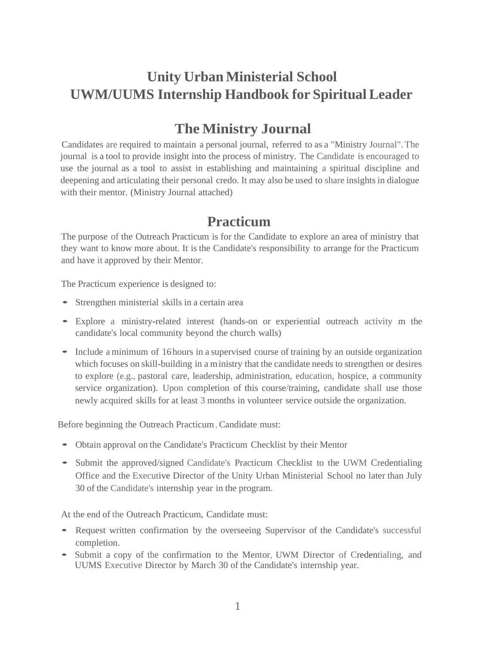# **Unity Urban Ministerial School UWM/UUMS Internship Handbook for Spiritual Leader**

### **The Ministry Journal**

Candidates are required to maintain a personal journal, referred to as a "Ministry Journal".The journal is a tool to provide insight into the process of ministry. The Candidate is encouraged to use the journal as a tool to assist in establishing and maintaining a spiritual discipline and deepening and articulating their personal credo. It may also be used to share insights in dialogue with their mentor. (Ministry Journal attached)

#### **Practicum**

The purpose of the Outreach Practicum is for the Candidate to explore an area of ministry that they want to know more about. It is the Candidate's responsibility to arrange for the Practicum and have it approved by their Mentor.

The Practicum experience is designed to:

- Strengthen ministerial skills in <sup>a</sup> certain area
- Explore <sup>a</sup> ministry-related interest (hands-on or experiential outreach activity <sup>m</sup> the candidate's local community beyond the church walls)
- Include a minimum of 16 hours in a supervised course of training by an outside organization which focuses on skill-building in a ministry that the candidate needs to strengthen or desires to explore (e.g., pastoral care, leadership, administration, education, hospice, a community service organization). Upon completion of this course/training, candidate shall use those newly acquired skills for at least 3 months in volunteer service outside the organization.

Before beginning the Outreach Practicum, Candidate must:

- Obtain approval on the Candidate's Practicum Checklist by their Mentor
- Submit the approved/signed Candidate's Practicum Checklist to the UWM Credentialing Office and the Executive Director of the Unity Urban Ministerial School no later than July 30 of the Candidate's internship year in the program.

At the end of the Outreach Practicum, Candidate must:

- Request written confirmation by the overseeing Supervisor of the Candidate's successful completion.
- Submit <sup>a</sup> copy of the confirmation to the Mentor, UWM Director of Credentialing, and UUMS Executive Director by March 30 of the Candidate's internship year.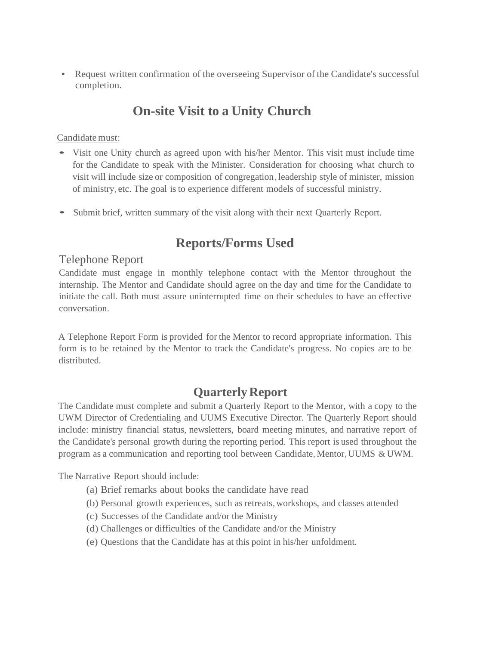• Request written confirmation of the overseeing Supervisor of the Candidate's successful completion.

### **On-site Visit to a Unity Church**

#### Candidate must:

- Visit one Unity church as agreed upon with his/her Mentor. This visit must include time for the Candidate to speak with the Minister. Consideration for choosing what church to visit will include size or composition of congregation, leadership style of minister, mission of ministry, etc. The goal isto experience different models of successful ministry.
- Submit brief, written summary of the visit along with their next Quarterly Report.

### **Reports/Forms Used**

#### Telephone Report

Candidate must engage in monthly telephone contact with the Mentor throughout the internship. The Mentor and Candidate should agree on the day and time for the Candidate to initiate the call. Both must assure uninterrupted time on their schedules to have an effective conversation.

A Telephone Report Form is provided for the Mentor to record appropriate information. This form is to be retained by the Mentor to track the Candidate's progress. No copies are to be distributed.

#### **Quarterly Report**

The Candidate must complete and submit a Quarterly Report to the Mentor, with a copy to the UWM Director of Credentialing and UUMS Executive Director. The Quarterly Report should include: ministry financial status, newsletters, board meeting minutes, and narrative report of the Candidate's personal growth during the reporting period. This report is used throughout the program as a communication and reporting tool between Candidate, Mentor, UUMS & UWM.

The Narrative Report should include:

- (a) Brief remarks about books the candidate have read
- (b) Personal growth experiences, such asretreats, workshops, and classes attended
- (c) Successes of the Candidate and/or the Ministry
- (d) Challenges or difficulties of the Candidate and/or the Ministry
- (e) Questions that the Candidate has at this point in his/her unfoldment.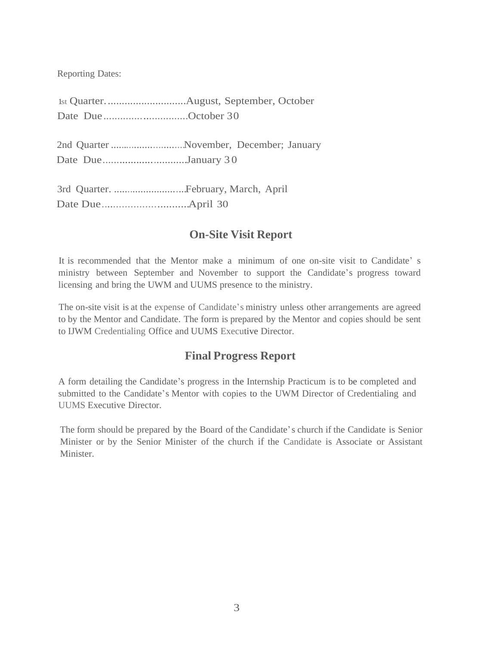Reporting Dates:

| Date DueOctober 30 |                                         |
|--------------------|-----------------------------------------|
| Date DueJanuary 30 | 2nd Quarter November, December; January |
|                    |                                         |

#### **On-Site Visit Report**

It is recommended that the Mentor make a minimum of one on-site visit to Candidate' s ministry between September and November to support the Candidate's progress toward licensing and bring the UWM and UUMS presence to the ministry.

The on-site visit is at the expense of Candidate's ministry unless other arrangements are agreed to by the Mentor and Candidate. The form is prepared by the Mentor and copies should be sent to IJWM Credentialing Office and UUMS Executive Director.

#### **Final Progress Report**

A form detailing the Candidate's progress in the Internship Practicum is to be completed and submitted to the Candidate's Mentor with copies to the UWM Director of Credentialing and UUMS Executive Director.

The form should be prepared by the Board of the Candidate's church if the Candidate is Senior Minister or by the Senior Minister of the church if the Candidate is Associate or Assistant Minister.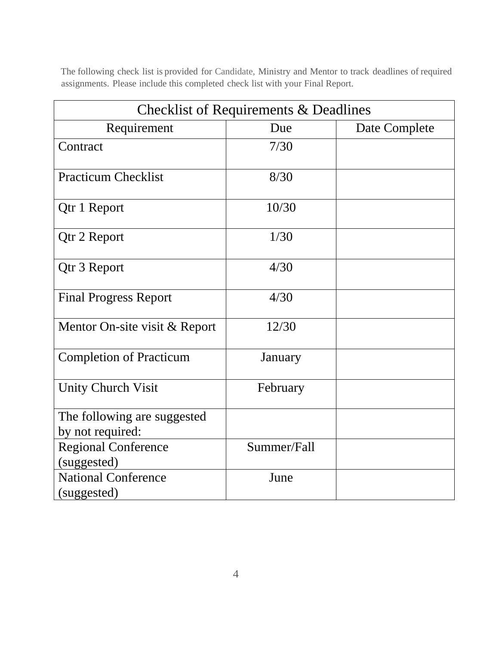The following check list is provided for Candidate, Ministry and Mentor to track deadlines of required assignments. Please include this completed check list with your Final Report.

|                                                 | Checklist of Requirements & Deadlines |               |
|-------------------------------------------------|---------------------------------------|---------------|
| Requirement                                     | Due                                   | Date Complete |
| Contract                                        | 7/30                                  |               |
| <b>Practicum Checklist</b>                      | 8/30                                  |               |
| Qtr 1 Report                                    | 10/30                                 |               |
| Qtr 2 Report                                    | 1/30                                  |               |
| Qtr 3 Report                                    | 4/30                                  |               |
| <b>Final Progress Report</b>                    | 4/30                                  |               |
| Mentor On-site visit & Report                   | 12/30                                 |               |
| <b>Completion of Practicum</b>                  | January                               |               |
| <b>Unity Church Visit</b>                       | February                              |               |
| The following are suggested<br>by not required: |                                       |               |
| <b>Regional Conference</b><br>(suggested)       | Summer/Fall                           |               |
| <b>National Conference</b><br>(suggested)       | June                                  |               |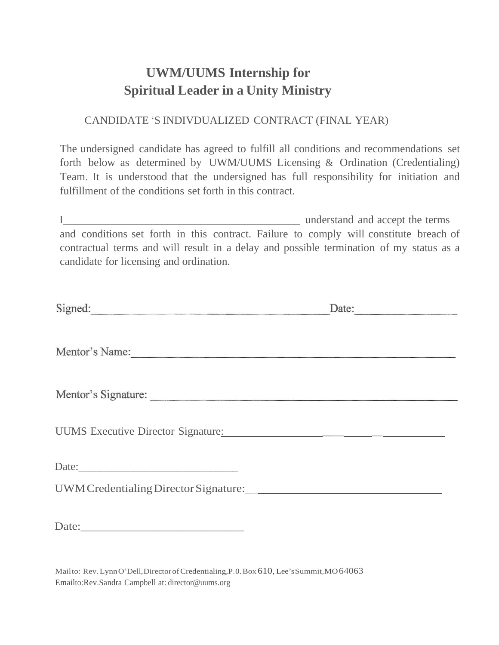# **UWM/UUMS Internship for Spiritual Leader in a Unity Ministry**

#### CANDIDATE 'S INDIVDUALIZED CONTRACT (FINAL YEAR)

The undersigned candidate has agreed to fulfill all conditions and recommendations set forth below as determined by UWM/UUMS Licensing & Ordination (Credentialing) Team. It is understood that the undersigned has full responsibility for initiation and fulfillment of the conditions set forth in this contract.

I\_\_\_\_\_\_\_\_\_\_\_\_\_\_\_\_\_\_\_\_\_\_\_\_\_\_\_\_\_\_\_\_\_\_\_\_\_\_\_\_\_\_\_ understand and accept the terms and conditions set forth in this contract. Failure to comply will constitute breach of contractual terms and will result in a delay and possible termination of my status as a candidate for licensing and ordination.

| Signed:                            | Date: |  |
|------------------------------------|-------|--|
|                                    |       |  |
| Mentor's Name:                     |       |  |
|                                    |       |  |
| Mentor's Signature:                |       |  |
| UUMS Executive Director Signature: |       |  |
|                                    |       |  |
|                                    |       |  |
|                                    |       |  |
|                                    |       |  |

Mailto: Rev.LynnO'Dell,DirectorofCredentialing,P.0.Box 610, Lee'sSummit,MO64063 Emailto:Rev.Sandra Campbell at: [director@uums.org](mailto:director@uums.org)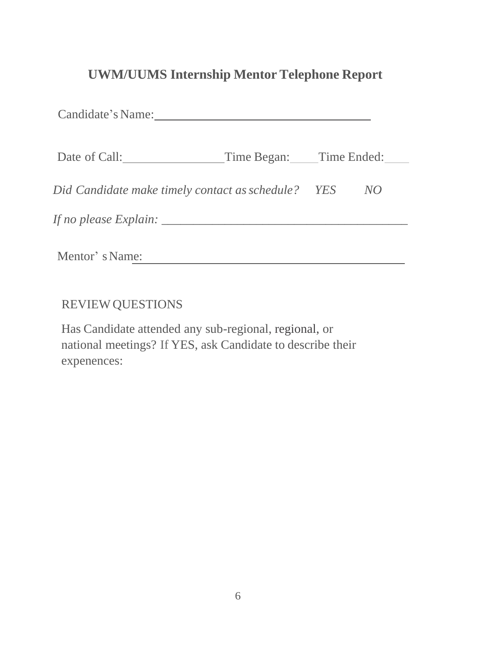### **UWM/UUMS Internship Mentor Telephone Report**

| Candidate's Name:                                  |                         |    |
|----------------------------------------------------|-------------------------|----|
| Date of Call:                                      | Time Began: Time Ended: |    |
| Did Candidate make timely contact as schedule? YES |                         | NO |
| If no please Explain: ___                          |                         |    |
| Mentor's Name:                                     |                         |    |

REVIEW QUESTIONS

Has Candidate attended any sub-regional, regional, or national meetings? If YES, ask Candidate to describe their expenences: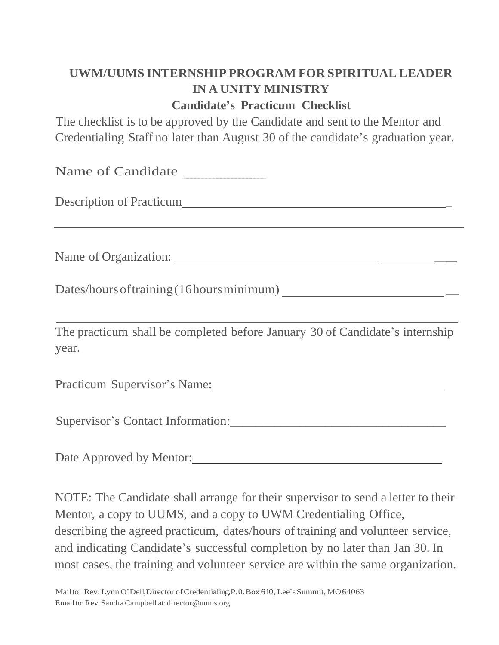# **UWM/UUMS INTERNSHIP PROGRAM FOR SPIRITUAL LEADER IN A UNITY MINISTRY**

### **Candidate's Practicum Checklist**

The checklist is to be approved by the Candidate and sent to the Mentor and Credentialing Staff no later than August 30 of the candidate's graduation year.

Name of Candidate

Description of Practicum  $\blacksquare$ 

Name of Organization: \_\_

Dates/hoursoftraining(16hoursminimum) \_

The practicum shall be completed before January 30 of Candidate's internship year.

Practicum Supervisor's Name: 2008. [2016] Practicum Supervisor's Name:

Supervisor's Contact Information:\_\_\_\_\_\_\_\_\_\_\_\_\_\_\_\_\_\_\_\_\_\_\_\_\_\_\_\_\_\_\_\_\_\_

Date Approved by Mentor:

NOTE: The Candidate shall arrange for their supervisor to send a letter to their Mentor, a copy to UUMS, and a copy to UWM Credentialing Office, describing the agreed practicum, dates/hours of training and volunteer service, and indicating Candidate's successful completion by no later than Jan 30. In most cases, the training and volunteer service are within the same organization.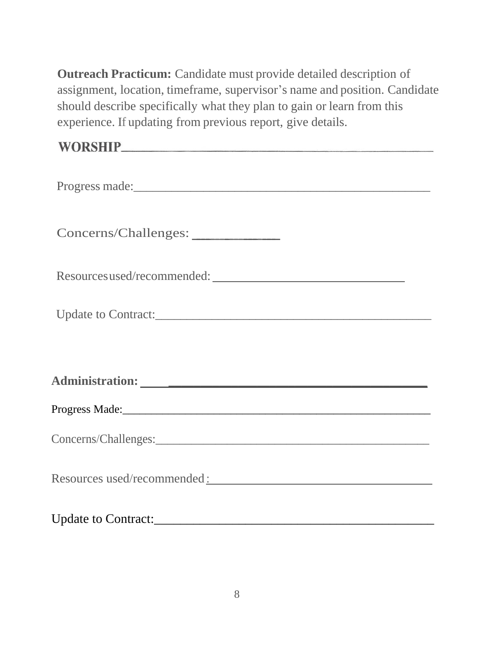**Outreach Practicum:** Candidate must provide detailed description of assignment, location, timeframe, supervisor's name and position. Candidate should describe specifically what they plan to gain or learn from this experience. If updating from previous report, give details.

| Concerns/Challenges: __________                                                                                                                                                                                               |
|-------------------------------------------------------------------------------------------------------------------------------------------------------------------------------------------------------------------------------|
| Resources used/recommended:                                                                                                                                                                                                   |
| Update to Contract:                                                                                                                                                                                                           |
|                                                                                                                                                                                                                               |
|                                                                                                                                                                                                                               |
|                                                                                                                                                                                                                               |
|                                                                                                                                                                                                                               |
| Resources used/recommended : Network and Second Contract to the set of the set of the set of the set of the set of the set of the set of the set of the set of the set of the set of the set of the set of the set of the set |
|                                                                                                                                                                                                                               |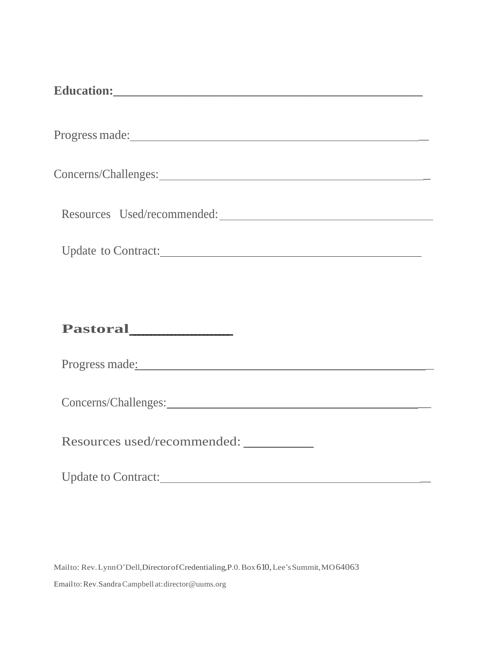| Update to Contract:         |  |  |
|-----------------------------|--|--|
|                             |  |  |
|                             |  |  |
| Progress made:              |  |  |
|                             |  |  |
| Resources used/recommended: |  |  |
| Update to Contract:         |  |  |

Mailto: Rev.LynnO'Dell, Director of Credentialing, P.0. Box 610, Lee's Summit, MO 64063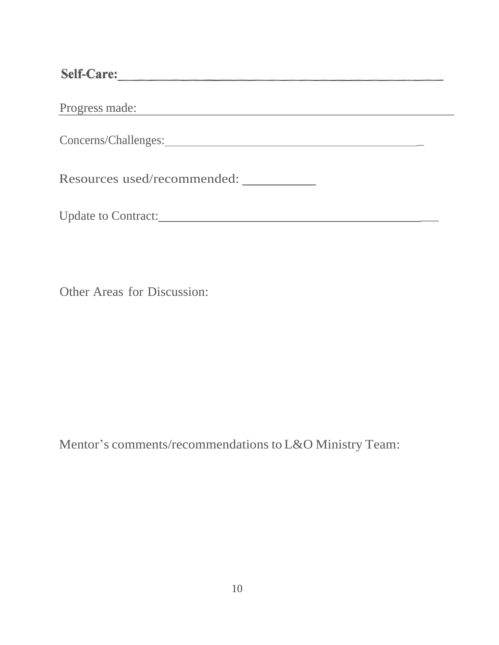Self-Care:

Progress made:

Concerns/Challenges: \_

Resources used/recommended: ----------------

Update to Contract: \_

<u> 1989 - Johann Stein, marwolaethau a bhann an t-Amhain an t-Amhain an t-Amhain an t-Amhain an t-Amhain an t-A</u>

Other Areas for Discussion:

Mentor's comments/recommendations to L&O Ministry Team: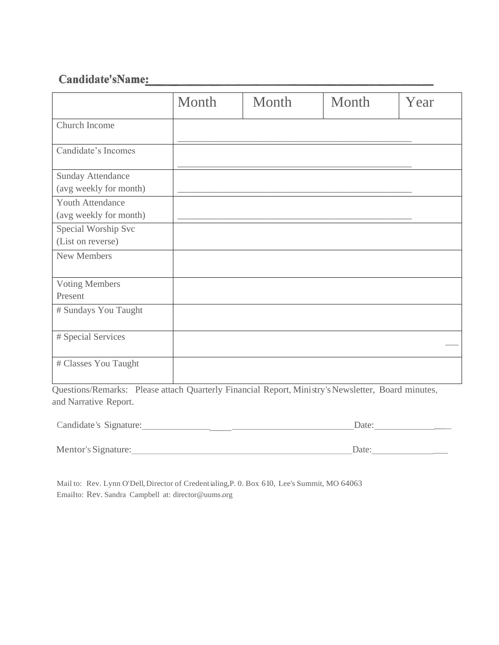#### Candidate'sName:

|                                             | Month | Month | Month | Year |
|---------------------------------------------|-------|-------|-------|------|
| Church Income                               |       |       |       |      |
| Candidate's Incomes                         |       |       |       |      |
| Sunday Attendance<br>(avg weekly for month) |       |       |       |      |
| Youth Attendance<br>(avg weekly for month)  |       |       |       |      |
| Special Worship Svc<br>(List on reverse)    |       |       |       |      |
| New Members                                 |       |       |       |      |
| <b>Voting Members</b><br>Present            |       |       |       |      |
| # Sundays You Taught                        |       |       |       |      |
| # Special Services                          |       |       |       |      |
| # Classes You Taught                        |       |       |       |      |

Questions/Remarks: Please attach Quarterly Financial Report, Ministry's Newsletter, Board minutes, and Narrative Report.

| Candidate's Signature: | Date: |
|------------------------|-------|
| Mentor's Signature:    | Date: |

Mail to: Rev. Lynn O'Dell,Director of Credentialing,P. 0. Box 610, Lee's Summit, MO 64063 Emailto: Rev. Sandra Campbell at: [director@uums.org](mailto:director@uums.org)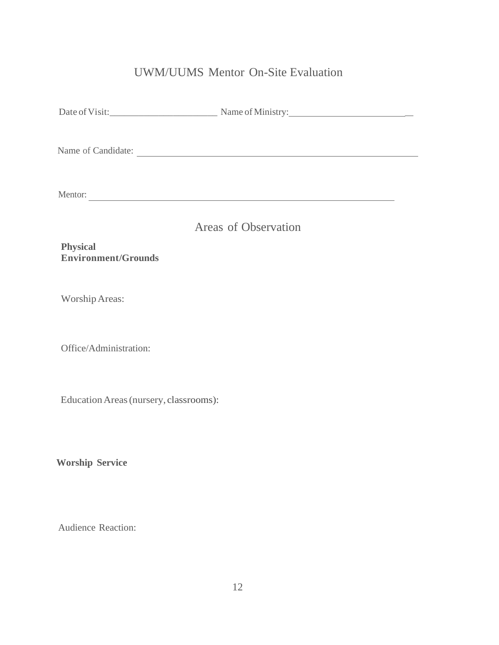### UWM/UUMS Mentor On-Site Evaluation

| Name of Candidate:                            |  |
|-----------------------------------------------|--|
| Mentor:                                       |  |
| Areas of Observation                          |  |
| <b>Physical</b><br><b>Environment/Grounds</b> |  |
| <b>Worship Areas:</b>                         |  |
| Office/Administration:                        |  |
| Education Areas (nursery, classrooms):        |  |
| <b>Worship Service</b>                        |  |
| Audience Reaction:                            |  |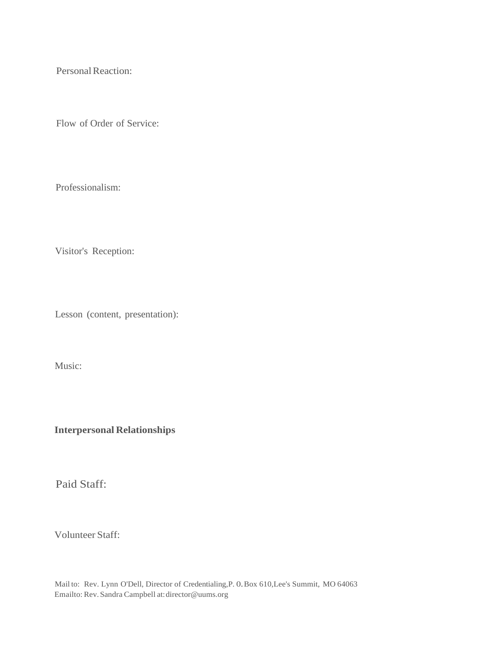Personal Reaction:

Flow of Order of Service:

Professionalism:

Visitor's Reception:

Lesson (content, presentation):

Music:

**Interpersonal Relationships**

Paid Staff:

Volunteer Staff:

Mail to: Rev. Lynn O'Dell, Director of Credentialing,P. 0.Box 610,Lee's Summit, MO 64063 Emailto: Rev.Sandra Campbell at[:di](mailto:director@uums.org)[rector@uums.org](mailto:rector@uums.org)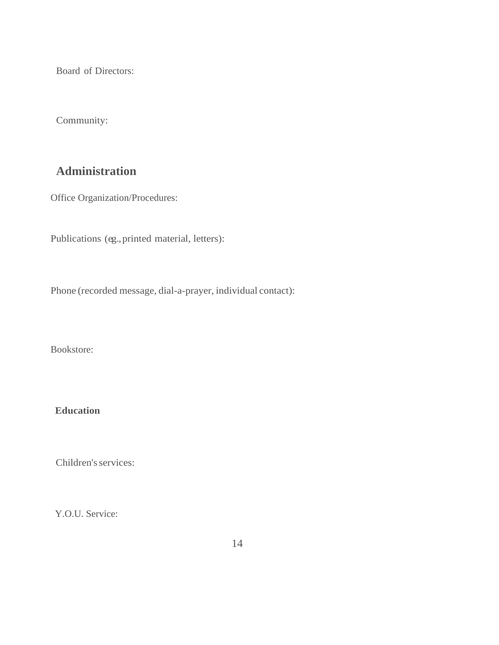Board of Directors:

Community:

#### **Administration**

Office Organization/Procedures:

Publications (eg., printed material, letters):

Phone (recorded message, dial-a-prayer, individual contact):

Bookstore:

**Education**

Children's services:

Y.O.U. Service: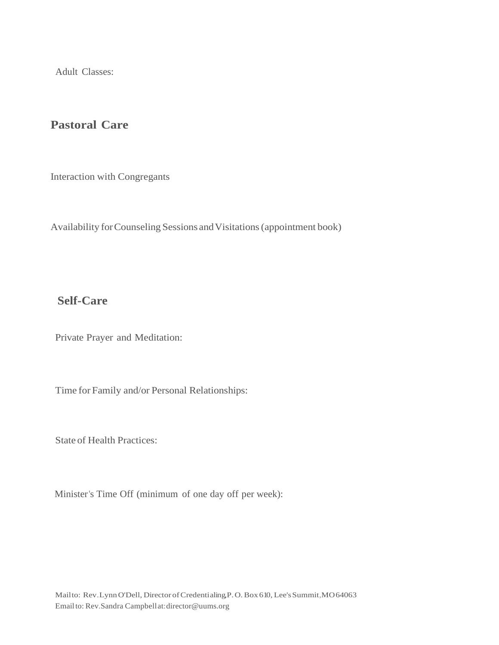Adult Classes:

#### **Pastoral Care**

Interaction with Congregants

Availability for Counseling Sessions and Visitations (appointment book)

#### **Self-Care**

Private Prayer and Meditation:

Time for Family and/or Personal Relationships:

State of Health Practices:

Minister's Time Off (minimum of one day off per week):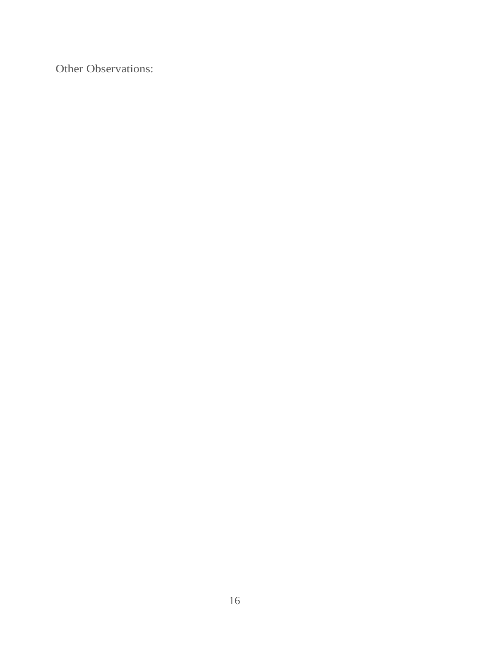Other Observations: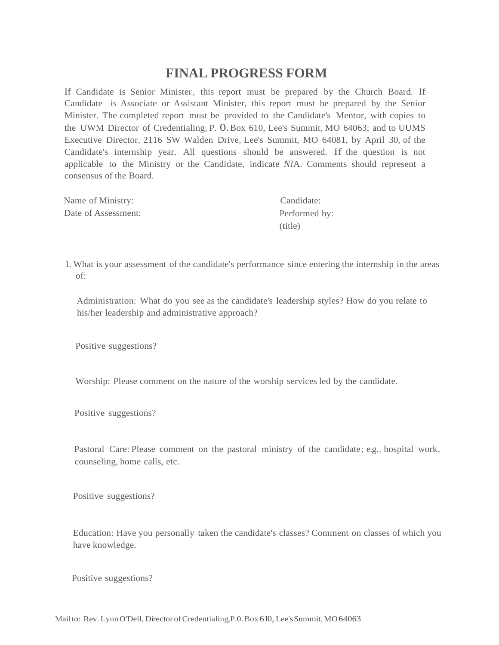#### **FINAL PROGRESS FORM**

If Candidate is Senior Minister, this report must be prepared by the Church Board. If Candidate is Associate or Assistant Minister, this report must be prepared by the Senior Minister. The completed report must be provided to the Candidate's Mentor, with copies to the UWM Director of Credentialing, P. 0.Box 610, Lee's Summit, MO 64063; and to UUMS Executive Director, 2116 SW Walden Drive, Lee's Summit, MO 64081, by April 30, of the Candidate's internship year. All questions should be answered. If the question is not applicable to the Ministry or the Candidate, indicate *NI*A. Comments should represent a consensus of the Board.

| Name of Ministry:   | Candidate:    |
|---------------------|---------------|
| Date of Assessment: | Performed by: |
|                     | (title)       |

1. What is your assessment of the candidate's performance since entering the internship in the areas of:

Administration: What do you see as the candidate's leadership styles? How do you relate to his/her leadership and administrative approach?

Positive suggestions?

Worship: Please comment on the nature of the worship services led by the candidate.

Positive suggestions?

Pastoral Care: Please comment on the pastoral ministry of the candidate; e.g., hospital work, counseling, home calls, etc.

Positive suggestions?

Education: Have you personally taken the candidate's classes? Comment on classes of which you have knowledge.

Positive suggestions?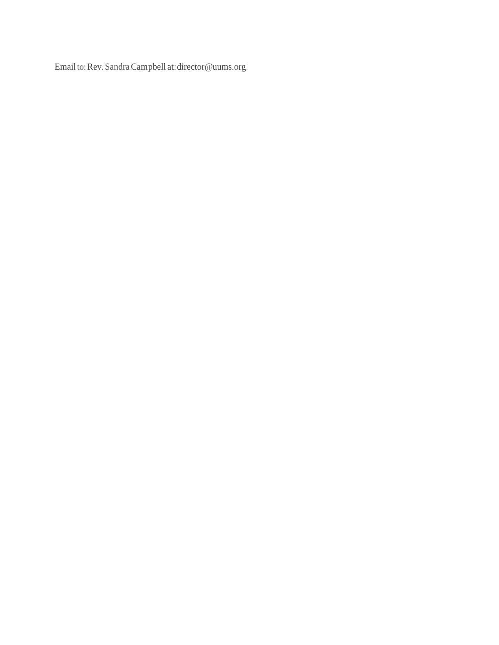Email to:Rev.SandraCampbell at[:director@uums.org](mailto:director@uums.org)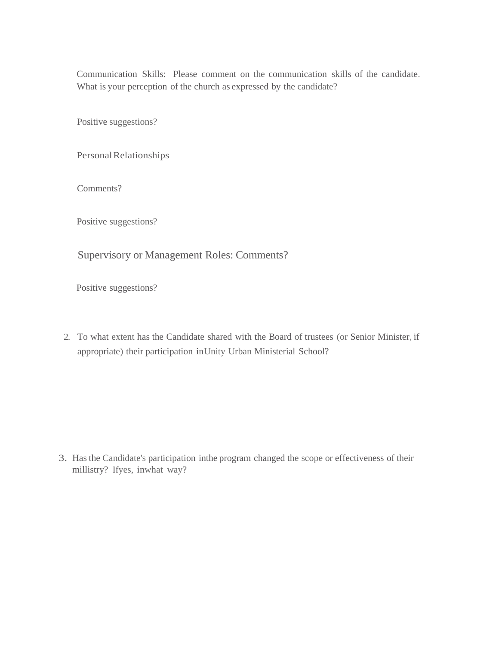Communication Skills: Please comment on the communication skills of the candidate. What is your perception of the church as expressed by the candidate?

Positive suggestions?

Personal Relationships

Comments?

Positive suggestions?

Supervisory or Management Roles: Comments?

Positive suggestions?

2. To what extent has the Candidate shared with the Board of trustees (or Senior Minister, if appropriate) their participation inUnity Urban Ministerial School?

3. Has the Candidate's participation inthe program changed the scope or effectiveness of their millistry? Ifyes, inwhat way?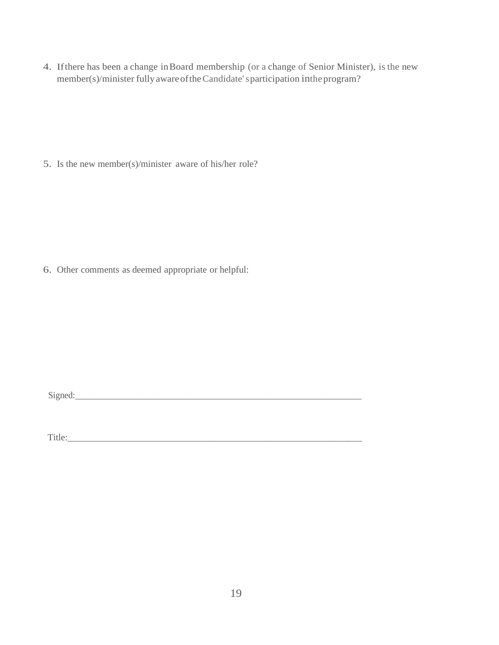4. Ifthere has been a change inBoard membership (or a change of Senior Minister), is the new member(s)/minister fully aware of the Candidate's participation in the program?

5. Is the new member(s)/minister aware of his/her role?

6. Other comments as deemed appropriate or helpful:

 $Signed:$ 

Title:\_\_\_\_\_\_\_\_\_\_\_\_\_\_\_\_\_\_\_\_\_\_\_\_\_\_\_\_\_\_\_\_\_\_\_\_\_\_\_\_\_\_\_\_\_\_\_\_\_\_\_\_\_\_\_\_\_\_\_\_\_\_\_\_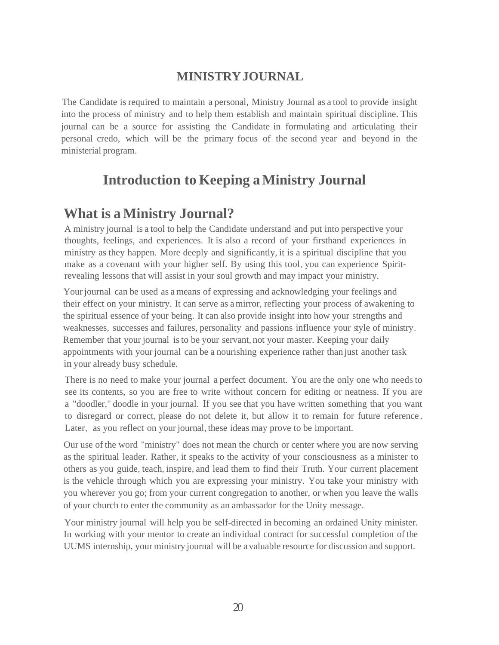#### **MINISTRYJOURNAL**

The Candidate is required to maintain a personal, Ministry Journal as a tool to provide insight into the process of ministry and to help them establish and maintain spiritual discipline. This journal can be a source for assisting the Candidate in formulating and articulating their personal credo, which will be the primary focus of the second year and beyond in the ministerial program.

### **Introduction to Keeping aMinistry Journal**

### **What is a Ministry Journal?**

A ministry journal is a tool to help the Candidate understand and put into perspective your thoughts, feelings, and experiences. It is also a record of your firsthand experiences in ministry as they happen. More deeply and significantly, it is a spiritual discipline that you make as a covenant with your higher self. By using this tool, you can experience Spiritrevealing lessons that will assist in your soul growth and may impact your ministry.

Your journal can be used as a means of expressing and acknowledging your feelings and their effect on your ministry. It can serve as amirror, reflecting your process of awakening to the spiritual essence of your being. It can also provide insight into how your strengths and weaknesses, successes and failures, personality and passions influence your style of ministry. Remember that your journal isto be your servant, not your master. Keeping your daily appointments with your journal can be a nourishing experience rather than just another task in your already busy schedule.

There is no need to make your journal a perfect document. You are the only one who needs to see its contents, so you are free to write without concern for editing or neatness. If you are a "doodler," doodle in your journal. If you see that you have written something that you want to disregard or correct, please do not delete it, but allow it to remain for future reference . Later, as you reflect on your journal, these ideas may prove to be important.

Our use of the word "ministry" does not mean the church or center where you are now serving as the spiritual leader. Rather, it speaks to the activity of your consciousness as a minister to others as you guide, teach, inspire, and lead them to find their Truth. Your current placement is the vehicle through which you are expressing your ministry. You take your ministry with you wherever you go; from your current congregation to another, or when you leave the walls of your church to enter the community as an ambassador for the Unity message.

Your ministry journal will help you be self-directed in becoming an ordained Unity minister. In working with your mentor to create an individual contract for successful completion of the UUMS internship, your ministry journal will be a valuable resource for discussion and support.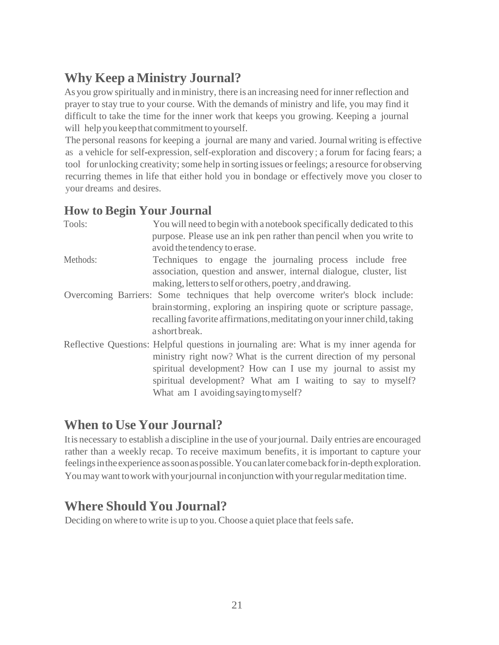# **Why Keep a Ministry Journal?**

As you grow spiritually and in ministry, there is an increasing need for inner reflection and prayer to stay true to your course. With the demands of ministry and life, you may find it difficult to take the time for the inner work that keeps you growing. Keeping a journal will help you keep that commitment to yourself.

The personal reasons for keeping a journal are many and varied. Journal writing is effective as a vehicle for self-expression, self-exploration and discovery; a forum for facing fears; a tool forunlocking creativity; some help in sorting issues orfeelings; a resource for observing recurring themes in life that either hold you in bondage or effectively move you closer to your dreams and desires.

#### **How to Begin Your Journal**

| Tools:   | You will need to begin with a notebook specifically dedicated to this<br>purpose. Please use an ink pen rather than pencil when you write to<br>avoid the tendency to erase.                                                                                                                                                     |
|----------|----------------------------------------------------------------------------------------------------------------------------------------------------------------------------------------------------------------------------------------------------------------------------------------------------------------------------------|
| Methods: | Techniques to engage the journaling process include free<br>association, question and answer, internal dialogue, cluster, list<br>making, letters to self or others, poetry, and drawing.                                                                                                                                        |
|          | Overcoming Barriers: Some techniques that help overcome writer's block include:<br>brain storming, exploring an inspiring quote or scripture passage,<br>recalling favorite affirmations, meditating on your inner child, taking<br>a short break.                                                                               |
|          | Reflective Questions: Helpful questions in journaling are: What is my inner agenda for<br>ministry right now? What is the current direction of my personal<br>spiritual development? How can I use my journal to assist my<br>spiritual development? What am I waiting to say to myself?<br>What am I avoiding saying to myself? |

### **When to Use Your Journal?**

Itis necessary to establish a discipline in the use of yourjournal. Daily entries are encouraged rather than a weekly recap. To receive maximum benefits, it is important to capture your feelingsintheexperience assoonaspossible.Youcanlater comebackforin-depth exploration. You may want to work with your journal in conjunction with your regular meditation time.

### **Where Should You Journal?**

Deciding on where to write is up to you. Choose a quiet place that feels safe.